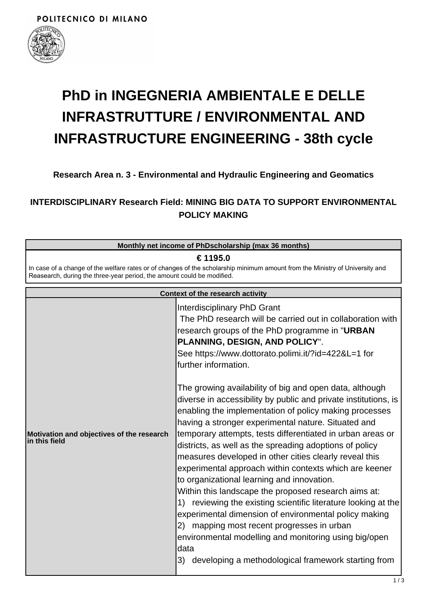

# **PhD in INGEGNERIA AMBIENTALE E DELLE INFRASTRUTTURE / ENVIRONMENTAL AND INFRASTRUCTURE ENGINEERING - 38th cycle**

### **Research Area n. 3 - Environmental and Hydraulic Engineering and Geomatics**

## **INTERDISCIPLINARY Research Field: MINING BIG DATA TO SUPPORT ENVIRONMENTAL POLICY MAKING**

| Monthly net income of PhDscholarship (max 36 months)                                                                                                                                                               |                                                                                                                                                                                                                                                                                                                                                                                                                                                                                                                                                                                                                                                                                                                                                                                                                                                                                                                                                                                                                                                                                                                                                                           |  |
|--------------------------------------------------------------------------------------------------------------------------------------------------------------------------------------------------------------------|---------------------------------------------------------------------------------------------------------------------------------------------------------------------------------------------------------------------------------------------------------------------------------------------------------------------------------------------------------------------------------------------------------------------------------------------------------------------------------------------------------------------------------------------------------------------------------------------------------------------------------------------------------------------------------------------------------------------------------------------------------------------------------------------------------------------------------------------------------------------------------------------------------------------------------------------------------------------------------------------------------------------------------------------------------------------------------------------------------------------------------------------------------------------------|--|
| € 1195.0<br>In case of a change of the welfare rates or of changes of the scholarship minimum amount from the Ministry of University and<br>Reasearch, during the three-year period, the amount could be modified. |                                                                                                                                                                                                                                                                                                                                                                                                                                                                                                                                                                                                                                                                                                                                                                                                                                                                                                                                                                                                                                                                                                                                                                           |  |
| <b>Context of the research activity</b>                                                                                                                                                                            |                                                                                                                                                                                                                                                                                                                                                                                                                                                                                                                                                                                                                                                                                                                                                                                                                                                                                                                                                                                                                                                                                                                                                                           |  |
| Motivation and objectives of the research<br>in this field                                                                                                                                                         | Interdisciplinary PhD Grant<br>The PhD research will be carried out in collaboration with<br>research groups of the PhD programme in "URBAN<br>PLANNING, DESIGN, AND POLICY".<br>See https://www.dottorato.polimi.it/?id=422&L=1 for<br>further information.<br>The growing availability of big and open data, although<br>diverse in accessibility by public and private institutions, is<br>enabling the implementation of policy making processes<br>having a stronger experimental nature. Situated and<br>temporary attempts, tests differentiated in urban areas or<br>districts, as well as the spreading adoptions of policy<br>measures developed in other cities clearly reveal this<br>experimental approach within contexts which are keener<br>to organizational learning and innovation.<br>Within this landscape the proposed research aims at:<br>1) reviewing the existing scientific literature looking at the<br>experimental dimension of environmental policy making<br>(2)<br>mapping most recent progresses in urban<br>environmental modelling and monitoring using big/open<br>data<br>3)<br>developing a methodological framework starting from |  |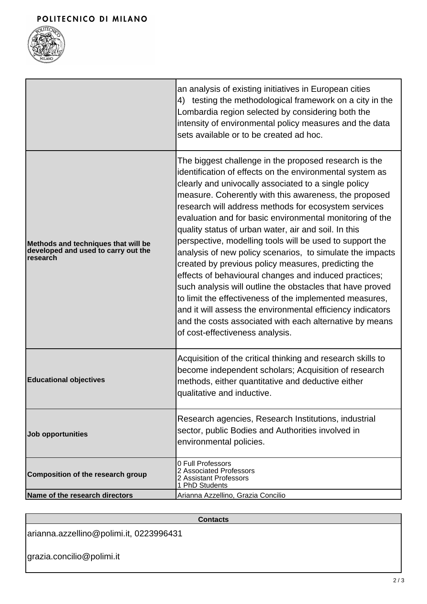

|                                                                                        | an analysis of existing initiatives in European cities<br>4) testing the methodological framework on a city in the<br>Lombardia region selected by considering both the<br>intensity of environmental policy measures and the data<br>sets available or to be created ad hoc.                                                                                                                                                                                                                                                                                                                                                                                                                                                                                                                                                                                                                                                               |
|----------------------------------------------------------------------------------------|---------------------------------------------------------------------------------------------------------------------------------------------------------------------------------------------------------------------------------------------------------------------------------------------------------------------------------------------------------------------------------------------------------------------------------------------------------------------------------------------------------------------------------------------------------------------------------------------------------------------------------------------------------------------------------------------------------------------------------------------------------------------------------------------------------------------------------------------------------------------------------------------------------------------------------------------|
| Methods and techniques that will be<br>developed and used to carry out the<br>research | The biggest challenge in the proposed research is the<br>identification of effects on the environmental system as<br>clearly and univocally associated to a single policy<br>measure. Coherently with this awareness, the proposed<br>research will address methods for ecosystem services<br>evaluation and for basic environmental monitoring of the<br>quality status of urban water, air and soil. In this<br>perspective, modelling tools will be used to support the<br>analysis of new policy scenarios, to simulate the impacts<br>created by previous policy measures, predicting the<br>effects of behavioural changes and induced practices;<br>such analysis will outline the obstacles that have proved<br>to limit the effectiveness of the implemented measures,<br>and it will assess the environmental efficiency indicators<br>and the costs associated with each alternative by means<br>of cost-effectiveness analysis. |
| <b>Educational objectives</b>                                                          | Acquisition of the critical thinking and research skills to<br>become independent scholars; Acquisition of research<br>methods, either quantitative and deductive either<br>qualitative and inductive.                                                                                                                                                                                                                                                                                                                                                                                                                                                                                                                                                                                                                                                                                                                                      |
| <b>Job opportunities</b>                                                               | Research agencies, Research Institutions, industrial<br>sector, public Bodies and Authorities involved in<br>environmental policies.                                                                                                                                                                                                                                                                                                                                                                                                                                                                                                                                                                                                                                                                                                                                                                                                        |
| <b>Composition of the research group</b>                                               | 0 Full Professors<br>2 Associated Professors<br>2 Assistant Professors<br>1 PhD Students                                                                                                                                                                                                                                                                                                                                                                                                                                                                                                                                                                                                                                                                                                                                                                                                                                                    |
| Name of the research directors                                                         | Arianna Azzellino, Grazia Concilio                                                                                                                                                                                                                                                                                                                                                                                                                                                                                                                                                                                                                                                                                                                                                                                                                                                                                                          |

## **Contacts** arianna.azzellino@polimi.it, 0223996431 grazia.concilio@polimi.it